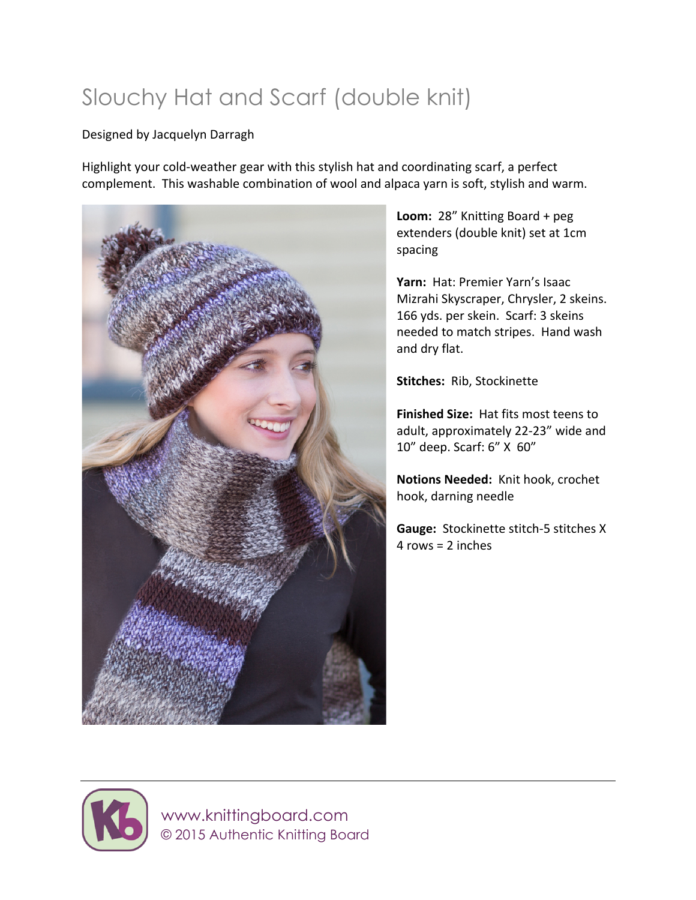# Slouchy Hat and Scarf (double knit)

#### Designed by Jacquelyn Darragh

Highlight your cold-weather gear with this stylish hat and coordinating scarf, a perfect complement. This washable combination of wool and alpaca yarn is soft, stylish and warm.



Loom: 28" Knitting Board + peg extenders (double knit) set at 1cm spacing

Yarn: Hat: Premier Yarn's Isaac Mizrahi Skyscraper, Chrysler, 2 skeins. 166 yds. per skein. Scarf: 3 skeins needed to match stripes. Hand wash and dry flat.

**Stitches: Rib, Stockinette** 

**Finished Size:** Hat fits most teens to adult, approximately 22-23" wide and 10" deep. Scarf: 6" X 60"

**Notions Needed:** Knit hook, crochet hook, darning needle

**Gauge:** Stockinette stitch-5 stitches X  $4$  rows =  $2$  inches



 www.knittingboard.com © 2015 Authentic Knitting Board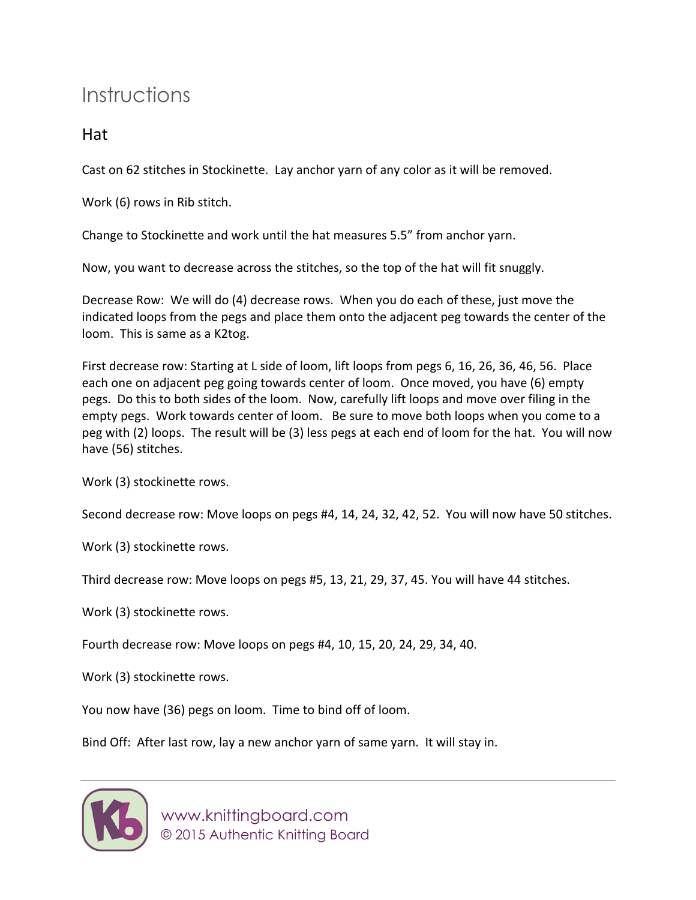## Instructions

### Hat

Cast on 62 stitches in Stockinette. Lay anchor yarn of any color as it will be removed.

Work (6) rows in Rib stitch.

Change to Stockinette and work until the hat measures 5.5" from anchor yarn.

Now, you want to decrease across the stitches, so the top of the hat will fit snuggly.

Decrease Row: We will do (4) decrease rows. When you do each of these, just move the indicated loops from the pegs and place them onto the adjacent peg towards the center of the loom. This is same as a K2tog.

First decrease row: Starting at L side of loom, lift loops from pegs 6, 16, 26, 36, 46, 56. Place each one on adjacent peg going towards center of loom. Once moved, you have (6) empty pegs. Do this to both sides of the loom. Now, carefully lift loops and move over filing in the empty pegs. Work towards center of loom. Be sure to move both loops when you come to a peg with (2) loops. The result will be (3) less pegs at each end of loom for the hat. You will now have (56) stitches.

Work (3) stockinette rows.

Second decrease row: Move loops on pegs #4, 14, 24, 32, 42, 52. You will now have 50 stitches.

Work (3) stockinette rows.

Third decrease row: Move loops on pegs #5, 13, 21, 29, 37, 45. You will have 44 stitches.

Work (3) stockinette rows.

Fourth decrease row: Move loops on pegs #4, 10, 15, 20, 24, 29, 34, 40.

Work (3) stockinette rows.

You now have (36) pegs on loom. Time to bind off of loom.

Bind Off: After last row, lay a new anchor yarn of same yarn. It will stay in.